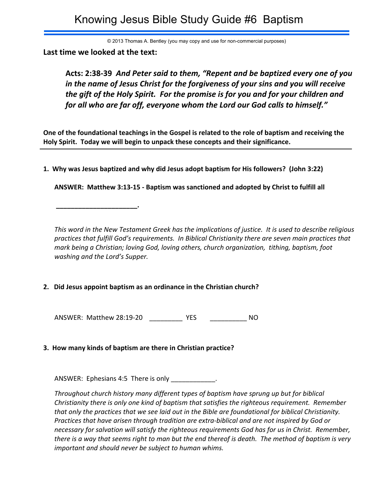# Knowing Jesus Bible Study Guide #6 Baptism

© 2013 Thomas A. Bentley (you may copy and use for non-commercial purposes)

**Last time we looked at the text:**

 **\_\_\_\_\_\_\_\_\_\_\_\_\_\_\_\_\_\_\_\_\_\_.**

**Acts: 2:38-39** *And Peter said to them, "Repent and be baptized every one of you in the name of Jesus Christ for the forgiveness of your sins and you will receive the gift of the Holy Spirit. For the promise is for you and for your children and for all who are far off, everyone whom the Lord our God calls to himself."*

**One of the foundational teachings in the Gospel is related to the role of baptism and receiving the Holy Spirit. Today we will begin to unpack these concepts and their significance.**

**1. Why was Jesus baptized and why did Jesus adopt baptism for His followers? (John 3:22)**

**ANSWER: Matthew 3:13-15 - Baptism was sanctioned and adopted by Christ to fulfill all**

*This word in the New Testament Greek has the implications of justice. It is used to describe religious practices that fulfill God's requirements. In Biblical Christianity there are seven main practices that mark being a Christian; loving God, loving others, church organization, tithing, baptism, foot washing and the Lord's Supper.*

# **2. Did Jesus appoint baptism as an ordinance in the Christian church?**

ANSWER: Matthew 28:19-20 \_\_\_\_\_\_\_\_\_ YES \_\_\_\_\_\_\_\_\_\_ NO

# **3. How many kinds of baptism are there in Christian practice?**

ANSWER: Ephesians 4:5 There is only

*Throughout church history many different types of baptism have sprung up but for biblical Christianity there is only one kind of baptism that satisfies the righteous requirement. Remember that only the practices that we see laid out in the Bible are foundational for biblical Christianity. Practices that have arisen through tradition are extra-biblical and are not inspired by God or necessary for salvation will satisfy the righteous requirements God has for us in Christ. Remember, there is a way that seems right to man but the end thereof is death. The method of baptism is very important and should never be subject to human whims.*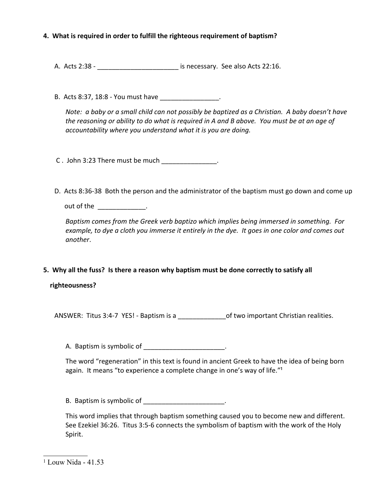# **4. What is required in order to fulfill the righteous requirement of baptism?**

A. Acts 2:38 - \_\_\_\_\_\_\_\_\_\_\_\_\_\_\_\_\_\_\_\_\_\_\_\_\_\_\_ is necessary. See also Acts 22:16.

B. Acts 8:37, 18:8 - You must have \_\_\_\_\_\_\_\_\_\_\_\_\_\_\_\_\_\_.

*Note: a baby or a small child can not possibly be baptized as a Christian. A baby doesn't have the reasoning or ability to do what is required in A and B above. You must be at an age of accountability where you understand what it is you are doing.*

C . John 3:23 There must be much \_\_\_\_\_\_\_\_\_\_\_\_\_\_\_.

D. Acts 8:36-38 Both the person and the administrator of the baptism must go down and come up

out of the the set of the set of  $\mathbf{r}$ 

*Baptism comes from the Greek verb baptizo which implies being immersed in something. For example, to dye a cloth you immerse it entirely in the dye. It goes in one color and comes out another*.

**5. Why all the fuss? Is there a reason why baptism must be done correctly to satisfy all**

 **righteousness?**

ANSWER: Titus 3:4-7 YES! - Baptism is a can be two important Christian realities.

A. Baptism is symbolic of \_\_\_\_\_\_\_\_\_\_\_\_\_\_\_\_\_\_\_\_\_\_.

The word "regeneration" in this text is found in ancient Greek to have the idea of being born again. It means "to experience a complete change in one's way of life."<sup>1</sup>

B. Baptism is symbolic of  $\blacksquare$ 

This word implies that through baptism something caused you to become new and different. See Ezekiel 36:26. Titus 3:5-6 connects the symbolism of baptism with the work of the Holy Spirit.

<sup>1</sup> Louw Nida - 41.53